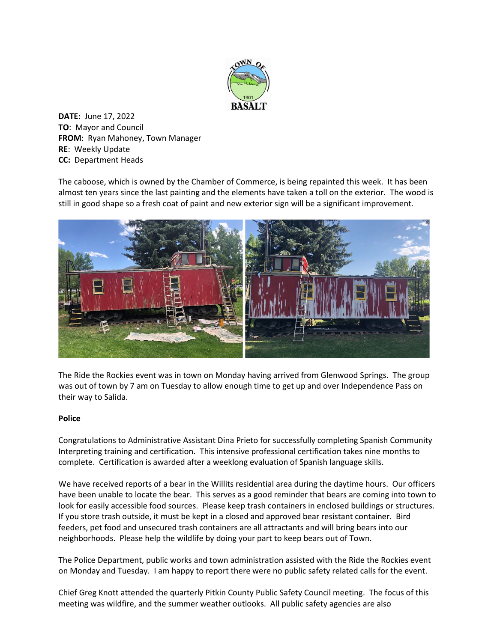

**DATE:** June 17, 2022 **TO**: Mayor and Council **FROM**: Ryan Mahoney, Town Manager **RE**: Weekly Update **CC:** Department Heads

The caboose, which is owned by the Chamber of Commerce, is being repainted this week. It has been almost ten years since the last painting and the elements have taken a toll on the exterior. The wood is still in good shape so a fresh coat of paint and new exterior sign will be a significant improvement.



The Ride the Rockies event was in town on Monday having arrived from Glenwood Springs. The group was out of town by 7 am on Tuesday to allow enough time to get up and over Independence Pass on their way to Salida.

## **Police**

Congratulations to Administrative Assistant Dina Prieto for successfully completing Spanish Community Interpreting training and certification. This intensive professional certification takes nine months to complete. Certification is awarded after a weeklong evaluation of Spanish language skills.

We have received reports of a bear in the Willits residential area during the daytime hours. Our officers have been unable to locate the bear. This serves as a good reminder that bears are coming into town to look for easily accessible food sources. Please keep trash containers in enclosed buildings or structures. If you store trash outside, it must be kept in a closed and approved bear resistant container. Bird feeders, pet food and unsecured trash containers are all attractants and will bring bears into our neighborhoods. Please help the wildlife by doing your part to keep bears out of Town.

The Police Department, public works and town administration assisted with the Ride the Rockies event on Monday and Tuesday. I am happy to report there were no public safety related calls for the event.

Chief Greg Knott attended the quarterly Pitkin County Public Safety Council meeting. The focus of this meeting was wildfire, and the summer weather outlooks. All public safety agencies are also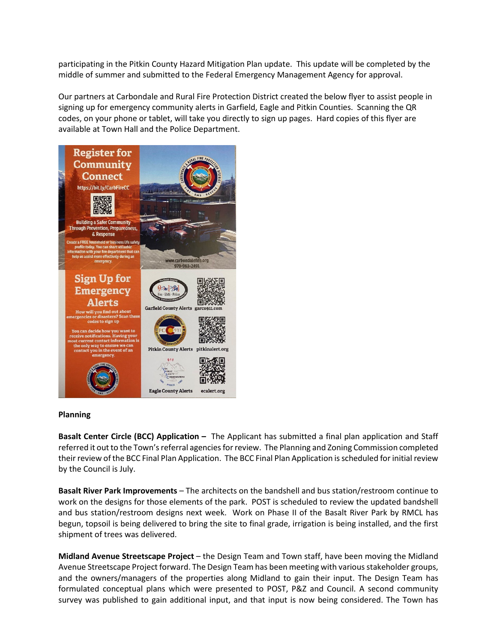participating in the Pitkin County Hazard Mitigation Plan update. This update will be completed by the middle of summer and submitted to the Federal Emergency Management Agency for approval.

Our partners at Carbondale and Rural Fire Protection District created the below flyer to assist people in signing up for emergency community alerts in Garfield, Eagle and Pitkin Counties. Scanning the QR codes, on your phone or tablet, will take you directly to sign up pages. Hard copies of this flyer are available at Town Hall and the Police Department.



## **Planning**

**Basalt Center Circle (BCC) Application –** The Applicant has submitted a final plan application and Staff referred it out to the Town's referral agencies for review. The Planning and Zoning Commission completed their review of the BCC Final Plan Application. The BCC Final Plan Application is scheduled for initial review by the Council is July.

**Basalt River Park Improvements** – The architects on the bandshell and bus station/restroom continue to work on the designs for those elements of the park. POST is scheduled to review the updated bandshell and bus station/restroom designs next week. Work on Phase II of the Basalt River Park by RMCL has begun, topsoil is being delivered to bring the site to final grade, irrigation is being installed, and the first shipment of trees was delivered.

**Midland Avenue Streetscape Project** – the Design Team and Town staff, have been moving the Midland Avenue Streetscape Project forward. The Design Team has been meeting with various stakeholder groups, and the owners/managers of the properties along Midland to gain their input. The Design Team has formulated conceptual plans which were presented to POST, P&Z and Council. A second community survey was published to gain additional input, and that input is now being considered. The Town has